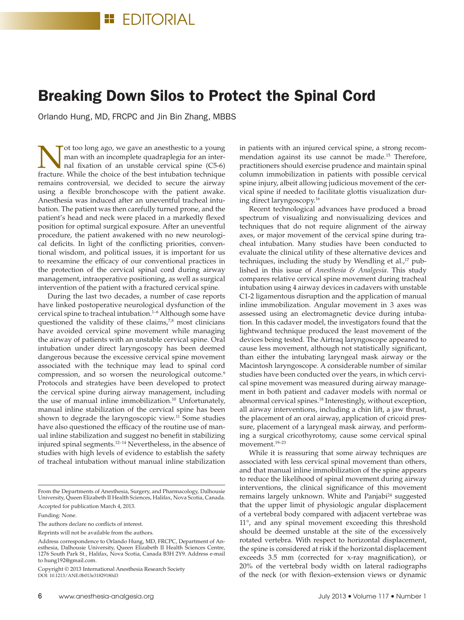## Breaking Down Silos to Protect the Spinal Cord

Orlando Hung, MD, FRCPC and Jin Bin Zhang, MBBS

ot too long ago, we gave an anesthestic to a young man with an incomplete quadraplegia for an internal fixation of an unstable cervical spine (C5-6) fracture. While the choice of the best intubation technique remains controversial, we decided to secure the airway using a flexible bronchoscope with the patient awake. Anesthesia was induced after an uneventful tracheal intubation. The patient was then carefully turned prone, and the patient's head and neck were placed in a markedly flexed position for optimal surgical exposure. After an uneventful procedure, the patient awakened with no new neurological deficits. In light of the conflicting priorities, conventional wisdom, and political issues, it is important for us to reexamine the efficacy of our conventional practices in the protection of the cervical spinal cord during airway management, intraoperative positioning, as well as surgical intervention of the patient with a fractured cervical spine.

During the last two decades, a number of case reports have linked postoperative neurological dysfunction of the cervical spine to tracheal intubation.1–6 Although some have questioned the validity of these claims, $7,8$  most clinicians have avoided cervical spine movement while managing the airway of patients with an unstable cervical spine. Oral intubation under direct laryngoscopy has been deemed dangerous because the excessive cervical spine movement associated with the technique may lead to spinal cord compression, and so worsen the neurological outcome.<sup>9</sup> Protocols and strategies have been developed to protect the cervical spine during airway management, including the use of manual inline immobilization.10 Unfortunately, manual inline stabilization of the cervical spine has been shown to degrade the laryngoscopic view.11 Some studies have also questioned the efficacy of the routine use of manual inline stabilization and suggest no benefit in stabilizing injured spinal segments.12–14 Nevertheless, in the absence of studies with high levels of evidence to establish the safety of tracheal intubation without manual inline stabilization

Accepted for publication March 4, 2013.

Funding: None.

The authors declare no conflicts of interest.

Reprints will not be available from the authors.

Copyright © 2013 International Anesthesia Research Society DOI: 10.1213/ANE.0b013e31829180d3

6 www.anesthesia-analgesia.org July 2013 • Volume 117 • Number 1

in patients with an injured cervical spine, a strong recommendation against its use cannot be made.15 Therefore, practitioners should exercise prudence and maintain spinal column immobilization in patients with possible cervical spine injury, albeit allowing judicious movement of the cervical spine if needed to facilitate glottis visualization during direct laryngoscopy.16

Recent technological advances have produced a broad spectrum of visualizing and nonvisualizing devices and techniques that do not require alignment of the airway axes, or major movement of the cervical spine during tracheal intubation. Many studies have been conducted to evaluate the clinical utility of these alternative devices and techniques, including the study by Wendling et al., $17$  published in this issue of *Anesthesia & Analgesia*. This study compares relative cervical spine movement during tracheal intubation using 4 airway devices in cadavers with unstable C1-2 ligamentous disruption and the application of manual inline immobilization. Angular movement in 3 axes was assessed using an electromagnetic device during intubation. In this cadaver model, the investigators found that the lightwand technique produced the least movement of the devices being tested. The Airtraq laryngoscope appeared to cause less movement, although not statistically significant, than either the intubating laryngeal mask airway or the Macintosh laryngoscope. A considerable number of similar studies have been conducted over the years, in which cervical spine movement was measured during airway management in both patient and cadaver models with normal or abnormal cervical spines.<sup>18</sup> Interestingly, without exception, all airway interventions, including a chin lift, a jaw thrust, the placement of an oral airway, application of cricoid pressure, placement of a laryngeal mask airway, and performing a surgical cricothyrotomy, cause some cervical spinal movement.<sup>19–23</sup>

While it is reassuring that some airway techniques are associated with less cervical spinal movement than others, and that manual inline immobilization of the spine appears to reduce the likelihood of spinal movement during airway interventions, the clinical significance of this movement remains largely unknown. White and Panjabi<sup>24</sup> suggested that the upper limit of physiologic angular displacement of a vertebral body compared with adjacent vertebrae was 11°, and any spinal movement exceeding this threshold should be deemed unstable at the site of the excessively rotated vertebra. With respect to horizontal displacement, the spine is considered at risk if the horizontal displacement exceeds 3.5 mm (corrected for x-ray magnification), or 20% of the vertebral body width on lateral radiographs of the neck (or with flexion–extension views or dynamic

From the Departments of Anesthesia, Surgery, and Pharmacology, Dalhousie University, Queen Elizabeth II Health Sciences, Halifax, Nova Scotia, Canada.

Address correspondence to Orlando Hung, MD, FRCPC, Department of Anesthesia, Dalhousie University, Queen Elizabeth II Health Sciences Centre, 1276 South Park St., Halifax, Nova Scotia, Canada B3H 2Y9. Address e-mail to [hung192@gmail.com.](mailto:hung192@gmail.com)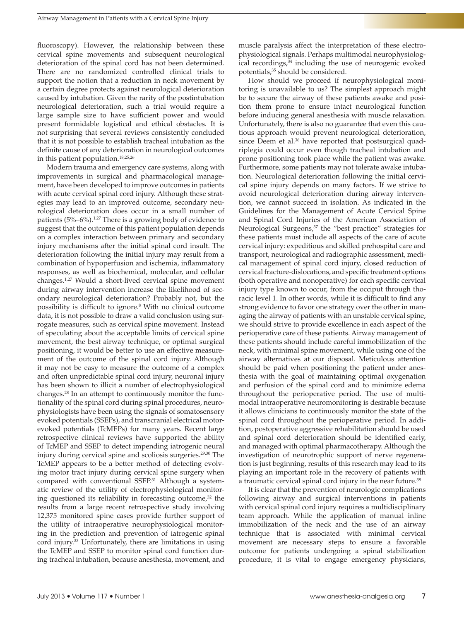fluoroscopy). However, the relationship between these cervical spine movements and subsequent neurological deterioration of the spinal cord has not been determined. There are no randomized controlled clinical trials to support the notion that a reduction in neck movement by a certain degree protects against neurological deterioration caused by intubation. Given the rarity of the postintubation neurological deterioration, such a trial would require a large sample size to have sufficient power and would present formidable logistical and ethical obstacles. It is not surprising that several reviews consistently concluded that it is not possible to establish tracheal intubation as the definite cause of any deterioration in neurological outcomes in this patient population.18,25,26

Modern trauma and emergency care systems, along with improvements in surgical and pharmacological management, have been developed to improve outcomes in patients with acute cervical spinal cord injury. Although these strategies may lead to an improved outcome, secondary neurological deterioration does occur in a small number of patients  $(5\% - 6\%)$ .<sup>1,27</sup> There is a growing body of evidence to suggest that the outcome of this patient population depends on a complex interaction between primary and secondary injury mechanisms after the initial spinal cord insult. The deterioration following the initial injury may result from a combination of hypoperfusion and ischemia, inflammatory responses, as well as biochemical, molecular, and cellular changes.1,27 Would a short-lived cervical spine movement during airway intervention increase the likelihood of secondary neurological deterioration? Probably not, but the possibility is difficult to ignore.8 With no clinical outcome data, it is not possible to draw a valid conclusion using surrogate measures, such as cervical spine movement. Instead of speculating about the acceptable limits of cervical spine movement, the best airway technique, or optimal surgical positioning, it would be better to use an effective measurement of the outcome of the spinal cord injury. Although it may not be easy to measure the outcome of a complex and often unpredictable spinal cord injury, neuronal injury has been shown to illicit a number of electrophysiological changes.28 In an attempt to continuously monitor the functionality of the spinal cord during spinal procedures, neurophysiologists have been using the signals of somatosensory evoked potentials (SSEPs), and transcranial electrical motorevoked potentials (TcMEPs) for many years. Recent large retrospective clinical reviews have supported the ability of TcMEP and SSEP to detect impending iatrogenic neural injury during cervical spine and scoliosis surgeries.<sup>29,30</sup> The TcMEP appears to be a better method of detecting evolving motor tract injury during cervical spine surgery when compared with conventional SSEP.<sup>31</sup> Although a systematic review of the utility of electrophysiological monitoring questioned its reliability in forecasting outcome,<sup>32</sup> the results from a large recent retrospective study involving 12,375 monitored spine cases provide further support of the utility of intraoperative neurophysiological monitoring in the prediction and prevention of iatrogenic spinal cord injury.33 Unfortunately, there are limitations in using the TcMEP and SSEP to monitor spinal cord function during tracheal intubation, because anesthesia, movement, and

muscle paralysis affect the interpretation of these electrophysiological signals. Perhaps multimodal neurophysiological recordings,<sup>34</sup> including the use of neurogenic evoked potentials,<sup>35</sup> should be considered.

How should we proceed if neurophysiological monitoring is unavailable to us? The simplest approach might be to secure the airway of these patients awake and position them prone to ensure intact neurological function before inducing general anesthesia with muscle relaxation. Unfortunately, there is also no guarantee that even this cautious approach would prevent neurological deterioration, since Deem et al.<sup>36</sup> have reported that postsurgical quadriplegia could occur even though tracheal intubation and prone positioning took place while the patient was awake. Furthermore, some patients may not tolerate awake intubation. Neurological deterioration following the initial cervical spine injury depends on many factors. If we strive to avoid neurological deterioration during airway intervention, we cannot succeed in isolation. As indicated in the Guidelines for the Management of Acute Cervical Spine and Spinal Cord Injuries of the American Association of Neurological Surgeons,<sup>37</sup> the "best practice" strategies for these patients must include all aspects of the care of acute cervical injury: expeditious and skilled prehospital care and transport, neurological and radiographic assessment, medical management of spinal cord injury, closed reduction of cervical fracture-dislocations, and specific treatment options (both operative and nonoperative) for each specific cervical injury type known to occur, from the occiput through thoracic level 1. In other words, while it is difficult to find any strong evidence to favor one strategy over the other in managing the airway of patients with an unstable cervical spine, we should strive to provide excellence in each aspect of the perioperative care of these patients. Airway management of these patients should include careful immobilization of the neck, with minimal spine movement, while using one of the airway alternatives at our disposal. Meticulous attention should be paid when positioning the patient under anesthesia with the goal of maintaining optimal oxygenation and perfusion of the spinal cord and to minimize edema throughout the perioperative period. The use of multimodal intraoperative neuromonitoring is desirable because it allows clinicians to continuously monitor the state of the spinal cord throughout the perioperative period. In addition, postoperative aggressive rehabilitation should be used and spinal cord deterioration should be identified early, and managed with optimal pharmacotherapy. Although the investigation of neurotrophic support of nerve regeneration is just beginning, results of this research may lead to its playing an important role in the recovery of patients with a traumatic cervical spinal cord injury in the near future.<sup>38</sup>

It is clear that the prevention of neurologic complications following airway and surgical interventions in patients with cervical spinal cord injury requires a multidisciplinary team approach. While the application of manual inline immobilization of the neck and the use of an airway technique that is associated with minimal cervical movement are necessary steps to ensure a favorable outcome for patients undergoing a spinal stabilization procedure, it is vital to engage emergency physicians,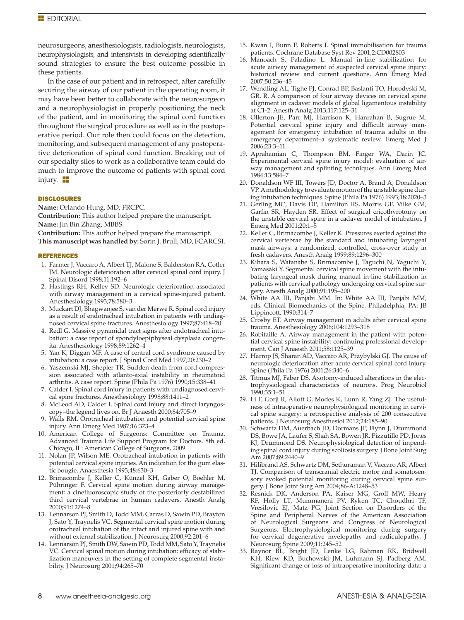neurosurgeons, anesthesiologists, radiologists, neurologists, neurophysiologists, and intensivists in developing scientifically sound strategies to ensure the best outcome possible in these patients.

In the case of our patient and in retrospect, after carefully securing the airway of our patient in the operating room, it may have been better to collaborate with the neurosurgeon and a neurophysiologist in properly positioning the neck of the patient, and in monitoring the spinal cord function throughout the surgical procedure as well as in the postoperative period. Our role then could focus on the detection, monitoring, and subsequent management of any postoperative deterioration of spinal cord function. Breaking out of our specialty silos to work as a collaborative team could do much to improve the outcome of patients with spinal cord injury. **F** 

## DISCLOSURES

**Name:** Orlando Hung, MD, FRCPC.

**Contribution:** This author helped prepare the manuscript. **Name:** Jin Bin Zhang, MBBS.

**Contribution:** This author helped prepare the manuscript.

**This manuscript was handled by:** Sorin J. Brull, MD, FCARCSI.

## REFERENCES

- 1. Farmer J, Vaccaro A, Albert TJ, Malone S, Balderston RA, Cotler JM. Neurologic deterioration after cervical spinal cord injury. J Spinal Disord 1998;11:192–6
- 2. Hastings RH, Kelley SD. Neurologic deterioration associated with airway management in a cervical spine-injured patient. Anesthesiology 1993;78:580–3
- 3. Muckart DJ, Bhagwanjee S, van der Merwe R. Spinal cord injury as a result of endotracheal intubation in patients with undiagnosed cervical spine fractures. Anesthesiology 1997;87:418–20
- 4. Redl G. Massive pyramidal tract signs after endotracheal intubation: a case report of spondyloepiphyseal dysplasia congenita. Anesthesiology 1998;89:1262–4
- 5. Yan K, Diggan MF. A case of central cord syndrome caused by intubation: a case report. J Spinal Cord Med 1997;20:230–2
- 6. Yaszemski MJ, Shepler TR. Sudden death from cord compression associated with atlanto-axial instability in rheumatoid arthritis. A case report. Spine (Phila Pa 1976) 1990;15:338–41
- 7. Calder I. Spinal cord injury in patients with undiagnosed cervical spine fractures. Anesthesiology 1998;88:1411–2
- 8. McLeod AD, Calder I. Spinal cord injury and direct laryngoscopy–the legend lives on. Br J Anaesth 2000;84:705–9
- 9. Walls RM. Orotracheal intubation and potential cervical spine injury. Ann Emerg Med 1987;16:373–4
- 10. American College of Surgeons: Committee on Trauma. Advanced Trauma Life Support Program for Doctors. 8th ed. Chicago, IL: American College of Surgeons, 2009
- 11. Nolan JP, Wilson ME. Orotracheal intubation in patients with potential cervical spine injuries. An indication for the gum elastic bougie. Anaesthesia 1993;48:630–3
- 12. Brimacombe J, Keller C, Künzel KH, Gaber O, Boehler M, Pühringer F. Cervical spine motion during airway management: a cinefluoroscopic study of the posteriorly destabilized third cervical vertebrae in human cadavers. Anesth Analg 2000;91:1274–8
- 13. Lennarson PJ, Smith D, Todd MM, Carras D, Sawin PD, Brayton J, Sato Y, Traynelis VC. Segmental cervical spine motion during orotracheal intubation of the intact and injured spine with and without external stabilization. J Neurosurg 2000;92:201–6
- 14. Lennarson PJ, Smith DW, Sawin PD, Todd MM, Sato Y, Traynelis VC. Cervical spinal motion during intubation: efficacy of stabilization maneuvers in the setting of complete segmental instability. J Neurosurg 2001;94:265–70
- 15. Kwan I, Bunn F, Roberts I. Spinal immobilisation for trauma patients. Cochrane Database Syst Rev 2001;2:CD002803
- 16. Manoach S, Paladino L. Manual in-line stabilization for acute airway management of suspected cervical spine injury: historical review and current questions. Ann Emerg Med 2007;50:236–45
- 17. Wendling AL, Tighe PJ, Conrad BP, Baslanti TO, Horodyski M, GR. R. A comparison of four airway devices on cervical spine alignment in cadaver models of global ligamentous instability at C1-2. Anesth Analg 2013;117:125–31
- 18. Ollerton JE, Parr MJ, Harrison K, Hanrahan B, Sugrue M. Potential cervical spine injury and difficult airway management for emergency intubation of trauma adults in the emergency department–a systematic review. Emerg Med J 2006;23:3–11
- 19. Aprahamian C, Thompson BM, Finger WA, Darin JC. Experimental cervical spine injury model: evaluation of airway management and splinting techniques. Ann Emerg Med 1984;13:584–7
- 20. Donaldson WF III, Towers JD, Doctor A, Brand A, Donaldson VP. A methodology to evaluate motion of the unstable spine during intubation techniques. Spine (Phila Pa 1976) 1993;18:2020–3
- 21. Gerling MC, Davis DP, Hamilton RS, Morris GF, Vilke GM, Garfin SR, Hayden SR. Effect of surgical cricothyrotomy on the unstable cervical spine in a cadaver model of intubation. J Emerg Med 2001;20:1–5
- 22. Keller C, Brimacombe J, Keller K. Pressures exerted against the cervical vertebrae by the standard and intubating laryngeal mask airways: a randomized, controlled, cross-over study in fresh cadavers. Anesth Analg 1999;89:1296–300
- 23. Kihara S, Watanabe S, Brimacombe J, Taguchi N, Yaguchi Y, Yamasaki Y. Segmental cervical spine movement with the intubating laryngeal mask during manual in-line stabilization in patients with cervical pathology undergoing cervical spine surgery. Anesth Analg 2000;91:195–200
- 24. White AA III, Panjabi MM. In: White AA III, Panjabi MM, eds. Clinical Biomechanics of the Spine. Philadelphia, PA: JB Lippincott, 1990:314–7
- 25. Crosby ET. Airway management in adults after cervical spine trauma. Anesthesiology 2006;104:1293–318
- 26. Robitaille A. Airway management in the patient with potential cervical spine instability: continuing professional development. Can J Anaesth 2011;58:1125–39
- 27. Harrop JS, Sharan AD, Vaccaro AR, Przybylski GJ. The cause of neurologic deterioration after acute cervical spinal cord injury. Spine (Phila Pa 1976) 2001;26:340–6
- 28. Titmus MJ, Faber DS. Axotomy-induced alterations in the electrophysiological characteristics of neurons. Prog Neurobiol 1990;35:1–51
- 29. Li F, Gorji R, Allott G, Modes K, Lunn R, Yang ZJ. The usefulness of intraoperative neurophysiological monitoring in cervical spine surgery: a retrospective analysis of 200 consecutive patients. J Neurosurg Anesthesiol 2012;24:185–90
- 30. Schwartz DM, Auerbach JD, Dormans JP, Flynn J, Drummond DS, Bowe JA, Laufer S, Shah SA, Bowen JR, Pizzutillo PD, Jones KJ, Drummond DS. Neurophysiological detection of impending spinal cord injury during scoliosis surgery. J Bone Joint Surg Am 2007;89:2440–9
- 31. Hilibrand AS, Schwartz DM, Sethuraman V, Vaccaro AR, Albert TJ. Comparison of transcranial electric motor and somatosensory evoked potential monitoring during cervical spine surgery. J Bone Joint Surg Am 2004;86-A:1248–53
- 32. Resnick DK, Anderson PA, Kaiser MG, Groff MW, Heary RF, Holly LT, Mummaneni PV, Ryken TC, Choudhri TF, Vresilovic EJ, Matz PG; Joint Section on Disorders of the Spine and Peripheral Nerves of the American Association of Neurological Surgeons and Congress of Neurological Surgeons. Electrophysiological monitoring during surgery for cervical degenerative myelopathy and radiculopathy. J Neurosurg Spine 2009;11:245–52
- 33. Raynor BL, Bright JD, Lenke LG, Rahman RK, Bridwell KH, Riew KD, Buchowski JM, Luhmann SJ, Padberg AM. Significant change or loss of intraoperative monitoring data: a